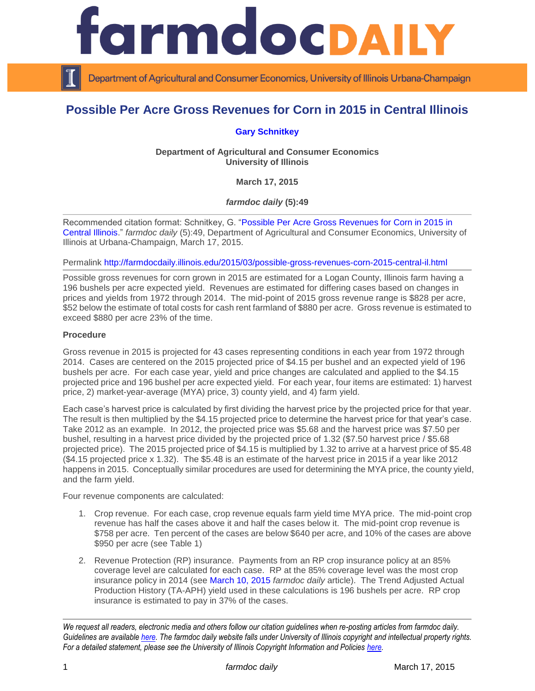

Department of Agricultural and Consumer Economics, University of Illinois Urbana-Champaign

# **Possible Per Acre Gross Revenues for Corn in 2015 in Central Illinois**

## **[Gary Schnitkey](http://farmdoc.illinois.edu/schnitkey/)**

**Department of Agricultural and Consumer Economics University of Illinois**

**March 17, 2015**

*farmdoc daily* **(5):49**

Recommended citation format: Schnitkey, G. "Possible Per [Acre Gross Revenues for Corn in 2015 in](http://farmdocdaily.illinois.edu/2015/03/possible-gross-revenues-corn-2015-central-il.html)  [Central Illinois.](http://farmdocdaily.illinois.edu/2015/03/possible-gross-revenues-corn-2015-central-il.html)" *farmdoc daily* (5):49, Department of Agricultural and Consumer Economics, University of Illinois at Urbana-Champaign, March 17, 2015.

Permalink<http://farmdocdaily.illinois.edu/2015/03/possible-gross-revenues-corn-2015-central-il.html>

Possible gross revenues for corn grown in 2015 are estimated for a Logan County, Illinois farm having a 196 bushels per acre expected yield. Revenues are estimated for differing cases based on changes in prices and yields from 1972 through 2014. The mid-point of 2015 gross revenue range is \$828 per acre, \$52 below the estimate of total costs for cash rent farmland of \$880 per acre. Gross revenue is estimated to exceed \$880 per acre 23% of the time.

#### **Procedure**

Gross revenue in 2015 is projected for 43 cases representing conditions in each year from 1972 through 2014. Cases are centered on the 2015 projected price of \$4.15 per bushel and an expected yield of 196 bushels per acre. For each case year, yield and price changes are calculated and applied to the \$4.15 projected price and 196 bushel per acre expected yield. For each year, four items are estimated: 1) harvest price, 2) market-year-average (MYA) price, 3) county yield, and 4) farm yield.

Each case's harvest price is calculated by first dividing the harvest price by the projected price for that year. The result is then multiplied by the \$4.15 projected price to determine the harvest price for that year's case. Take 2012 as an example. In 2012, the projected price was \$5.68 and the harvest price was \$7.50 per bushel, resulting in a harvest price divided by the projected price of 1.32 (\$7.50 harvest price / \$5.68 projected price). The 2015 projected price of \$4.15 is multiplied by 1.32 to arrive at a harvest price of \$5.48 (\$4.15 projected price x 1.32). The \$5.48 is an estimate of the harvest price in 2015 if a year like 2012 happens in 2015. Conceptually similar procedures are used for determining the MYA price, the county yield, and the farm yield.

Four revenue components are calculated:

- 1. Crop revenue. For each case, crop revenue equals farm yield time MYA price. The mid-point crop revenue has half the cases above it and half the cases below it. The mid-point crop revenue is \$758 per acre. Ten percent of the cases are below \$640 per acre, and 10% of the cases are above \$950 per acre (see Table 1)
- 2. Revenue Protection (RP) insurance. Payments from an RP crop insurance policy at an 85% coverage level are calculated for each case. RP at the 85% coverage level was the most crop insurance policy in 2014 (see [March 10, 2015](http://farmdocdaily.illinois.edu/2015/03/crop-insurance-decisions-in-2015.html) *farmdoc daily* article). The Trend Adjusted Actual Production History (TA-APH) yield used in these calculations is 196 bushels per acre. RP crop insurance is estimated to pay in 37% of the cases.

*We request all readers, electronic media and others follow our citation guidelines when re-posting articles from farmdoc daily. Guidelines are available [here.](http://farmdocdaily.illinois.edu/citationguide.html) The farmdoc daily website falls under University of Illinois copyright and intellectual property rights. For a detailed statement, please see the University of Illinois Copyright Information and Policies [here.](http://www.cio.illinois.edu/policies/copyright/)*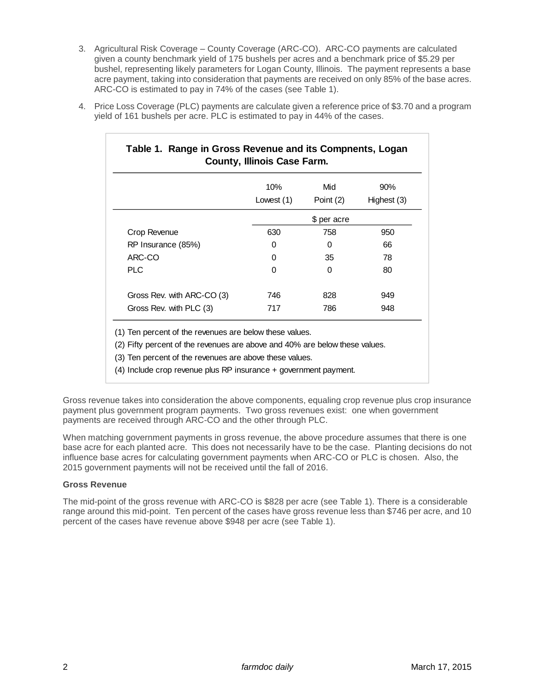3. Agricultural Risk Coverage – County Coverage (ARC-CO). ARC-CO payments are calculated given a county benchmark yield of 175 bushels per acres and a benchmark price of \$5.29 per bushel, representing likely parameters for Logan County, Illinois. The payment represents a base acre payment, taking into consideration that payments are received on only 85% of the base acres. ARC-CO is estimated to pay in 74% of the cases (see Table 1).

|                            | 10%         | Mid       | 90%         |
|----------------------------|-------------|-----------|-------------|
|                            | Lowest (1)  | Point (2) | Highest (3) |
|                            | \$ per acre |           |             |
| Crop Revenue               | 630         | 758       | 950         |
| RP Insurance (85%)         | 0           | 0         | 66          |
| ARC-CO                     | 0           | 35        | 78          |
| <b>PLC</b>                 | 0           | 0         | 80          |
| Gross Rev. with ARC-CO (3) | 746         | 828       | 949         |
| Gross Rev. with PLC (3)    | 717         | 786       | 948         |

4. Price Loss Coverage (PLC) payments are calculate given a reference price of \$3.70 and a program yield of 161 bushels per acre. PLC is estimated to pay in 44% of the cases.

(1) Ten percent of the revenues are below these values.

(2) Fifty percent of the revenues are above and 40% are below these values.

(3) Ten percent of the revenues are above these values.

(4) Include crop revenue plus RP insurance + government payment.

Gross revenue takes into consideration the above components, equaling crop revenue plus crop insurance payment plus government program payments. Two gross revenues exist: one when government payments are received through ARC-CO and the other through PLC.

When matching government payments in gross revenue, the above procedure assumes that there is one base acre for each planted acre. This does not necessarily have to be the case. Planting decisions do not influence base acres for calculating government payments when ARC-CO or PLC is chosen. Also, the 2015 government payments will not be received until the fall of 2016.

## **Gross Revenue**

The mid-point of the gross revenue with ARC-CO is \$828 per acre (see Table 1). There is a considerable range around this mid-point. Ten percent of the cases have gross revenue less than \$746 per acre, and 10 percent of the cases have revenue above \$948 per acre (see Table 1).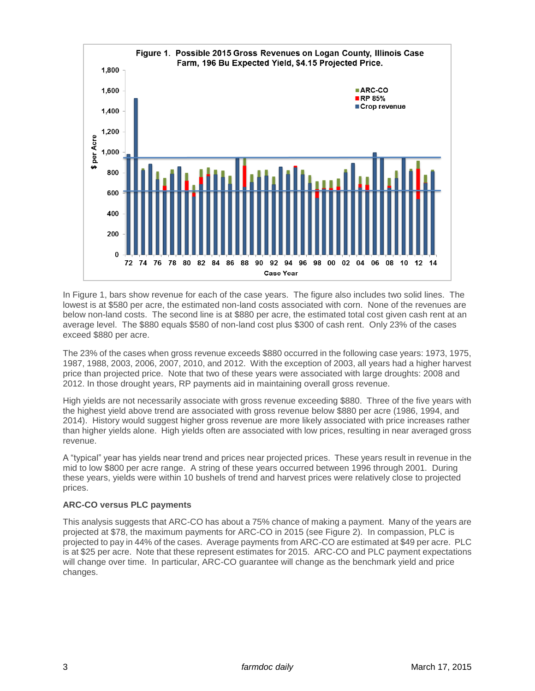

In Figure 1, bars show revenue for each of the case years. The figure also includes two solid lines. The lowest is at \$580 per acre, the estimated non-land costs associated with corn. None of the revenues are below non-land costs. The second line is at \$880 per acre, the estimated total cost given cash rent at an average level. The \$880 equals \$580 of non-land cost plus \$300 of cash rent. Only 23% of the cases exceed \$880 per acre.

The 23% of the cases when gross revenue exceeds \$880 occurred in the following case years: 1973, 1975, 1987, 1988, 2003, 2006, 2007, 2010, and 2012. With the exception of 2003, all years had a higher harvest price than projected price. Note that two of these years were associated with large droughts: 2008 and 2012. In those drought years, RP payments aid in maintaining overall gross revenue.

High yields are not necessarily associate with gross revenue exceeding \$880. Three of the five years with the highest yield above trend are associated with gross revenue below \$880 per acre (1986, 1994, and 2014). History would suggest higher gross revenue are more likely associated with price increases rather than higher yields alone. High yields often are associated with low prices, resulting in near averaged gross revenue.

A "typical" year has yields near trend and prices near projected prices. These years result in revenue in the mid to low \$800 per acre range. A string of these years occurred between 1996 through 2001. During these years, yields were within 10 bushels of trend and harvest prices were relatively close to projected prices.

## **ARC-CO versus PLC payments**

This analysis suggests that ARC-CO has about a 75% chance of making a payment. Many of the years are projected at \$78, the maximum payments for ARC-CO in 2015 (see Figure 2). In compassion, PLC is projected to pay in 44% of the cases. Average payments from ARC-CO are estimated at \$49 per acre. PLC is at \$25 per acre. Note that these represent estimates for 2015. ARC-CO and PLC payment expectations will change over time. In particular, ARC-CO guarantee will change as the benchmark yield and price changes.